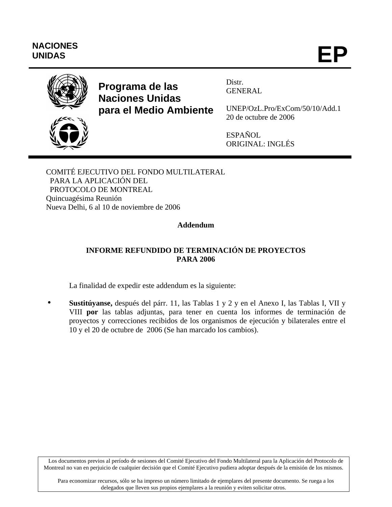# **NACIONES** NACIONES<br>UNIDAS **EP**



# **Programa de las Naciones Unidas para el Medio Ambiente**

Distr. GENERAL

UNEP/OzL.Pro/ExCom/50/10/Add.1 20 de octubre de 2006

ESPAÑOL ORIGINAL: INGLÉS

COMITÉ EJECUTIVO DEL FONDO MULTILATERAL PARA LA APLICACIÓN DEL PROTOCOLO DE MONTREAL Quincuagésima Reunión Nueva Delhi, 6 al 10 de noviembre de 2006

## **Addendum**

# **INFORME REFUNDIDO DE TERMINACIÓN DE PROYECTOS PARA 2006**

La finalidad de expedir este addendum es la siguiente:

Sustitúyanse, después del párr. 11, las Tablas 1 y 2 y en el Anexo I, las Tablas I, VII y VIII **por** las tablas adjuntas, para tener en cuenta los informes de terminación de proyectos y correcciones recibidos de los organismos de ejecución y bilaterales entre el 10 y el 20 de octubre de 2006 (Se han marcado los cambios).

Los documentos previos al período de sesiones del Comité Ejecutivo del Fondo Multilateral para la Aplicación del Protocolo de Montreal no van en perjuicio de cualquier decisión que el Comité Ejecutivo pudiera adoptar después de la emisión de los mismos.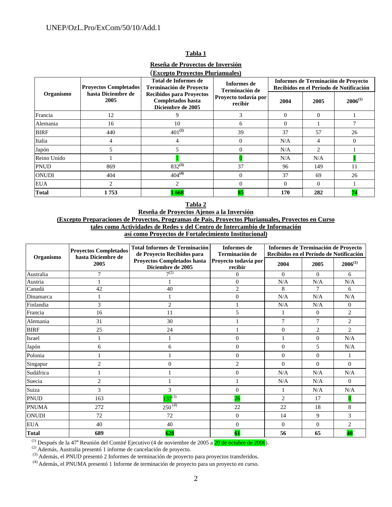#### **Tabla 1**

**Reseña de Proyectos de Inversión**

| <b>(Excepto Proyectos Plurianuales)</b> |                              |                                                                           |                                 |                                                                                |                |              |  |  |  |  |  |  |
|-----------------------------------------|------------------------------|---------------------------------------------------------------------------|---------------------------------|--------------------------------------------------------------------------------|----------------|--------------|--|--|--|--|--|--|
| Organismo                               | <b>Proyectos Completados</b> | Total de Informes de<br><b>Terminación de Proyecto</b>                    | Informes de<br>Terminación de   | Informes de Terminación de Proyecto<br>Recibidos en el Período de Notificación |                |              |  |  |  |  |  |  |
|                                         | hasta Diciembre de<br>2005   | <b>Recibidos para Proyectos</b><br>Completados hasta<br>Diciembre de 2005 | Proyecto todavía por<br>recibir | 2004                                                                           | 2005           | $2006^{(1)}$ |  |  |  |  |  |  |
| Francia                                 | 12                           | 9                                                                         | 3                               | $\Omega$                                                                       | $\Omega$       |              |  |  |  |  |  |  |
| Alemania                                | 16                           | 10                                                                        | 6                               | $\Omega$                                                                       |                | 7            |  |  |  |  |  |  |
| <b>BIRF</b>                             | 440                          | $401^{(2)}$                                                               | 39                              | 37                                                                             | 57             | 26           |  |  |  |  |  |  |
| Italia                                  | 4                            | 4                                                                         | $\Omega$                        | N/A                                                                            | 4              | $\Omega$     |  |  |  |  |  |  |
| Japón                                   | 5                            |                                                                           | $\Omega$                        | N/A                                                                            | $\overline{c}$ |              |  |  |  |  |  |  |
| Reino Unido                             |                              |                                                                           |                                 | N/A                                                                            | N/A            |              |  |  |  |  |  |  |
| <b>PNUD</b>                             | 869                          | $832^{(3)}$                                                               | 37                              | 96                                                                             | 149            | 11           |  |  |  |  |  |  |
| ONUDI                                   | 404                          | $404^{(4)}$                                                               | $\Omega$                        | 37                                                                             | 69             | 26           |  |  |  |  |  |  |
| <b>EUA</b>                              | 2                            | $\overline{2}$                                                            | $\Omega$                        | $\Omega$                                                                       | $\Omega$       |              |  |  |  |  |  |  |
| Total                                   | 1753                         | 1668                                                                      | 85                              | 170                                                                            | 282            | 74           |  |  |  |  |  |  |

#### **Tabla 2 Reseña de Proyectos Ajenos a la Inversión (Excepto Preparaciones de Proyectos, Programas de País, Proyectos Plurianuales, Proyectos en Curso tales como Actividades de Redes y del Centro de Intercambio de Información así como Proyectos de Fortalecimiento Institucional)**

| Organismo    | <b>Proyectos Completados</b><br>hasta Diciembre de | <b>Total Informes de Terminación</b><br>de Proyecto Recibidos para | Informes de<br>Terminación de   | Informes de Terminación de Proyecto<br>Recibidos en el Período de Notificación |                |                |  |  |  |
|--------------|----------------------------------------------------|--------------------------------------------------------------------|---------------------------------|--------------------------------------------------------------------------------|----------------|----------------|--|--|--|
|              | 2005                                               | Proyectos Completados hasta<br>Diciembre de 2005                   | Proyecto todavía por<br>recibir | 2004                                                                           | 2005           | $2006^{(1)}$   |  |  |  |
| Australia    | 7                                                  | $7^{(2)}$                                                          | $\overline{0}$                  | $\overline{0}$                                                                 | $\Omega$       | 6              |  |  |  |
| Austria      |                                                    |                                                                    | $\overline{0}$                  | N/A                                                                            | N/A            | N/A            |  |  |  |
| Canadá       | 42                                                 | 40                                                                 | $\overline{c}$                  | 8                                                                              | 7              | 6              |  |  |  |
| Dinamarca    |                                                    |                                                                    | $\overline{0}$                  | N/A                                                                            | N/A            | N/A            |  |  |  |
| Finlandia    | 3                                                  | $\overline{2}$                                                     |                                 | N/A                                                                            | N/A            | $\overline{0}$ |  |  |  |
| Francia      | 16                                                 | 11                                                                 | 5                               | 1                                                                              | $\overline{0}$ | $\overline{c}$ |  |  |  |
| Alemania     | 31                                                 | 30                                                                 |                                 | $\overline{7}$                                                                 | 7              | $\overline{c}$ |  |  |  |
| <b>BIRF</b>  | 25                                                 | 24                                                                 |                                 | $\overline{0}$                                                                 | $\overline{c}$ | $\overline{2}$ |  |  |  |
| Israel       |                                                    |                                                                    | $\mathbf{0}$                    |                                                                                | $\overline{0}$ | N/A            |  |  |  |
| Japón        | 6                                                  | 6                                                                  | $\theta$                        | $\overline{0}$                                                                 | 5              | N/A            |  |  |  |
| Polonia      |                                                    |                                                                    | $\boldsymbol{0}$                | $\overline{0}$                                                                 | $\mathbf{0}$   |                |  |  |  |
| Singapur     | $\overline{c}$                                     | $\overline{0}$                                                     | $\overline{2}$                  | $\Omega$                                                                       | $\Omega$       | $\Omega$       |  |  |  |
| Sudáfrica    |                                                    |                                                                    | $\mathbf{0}$                    | N/A                                                                            | N/A            | N/A            |  |  |  |
| Suecia       | $\overline{c}$                                     |                                                                    |                                 | N/A                                                                            | N/A            | $\Omega$       |  |  |  |
| Suiza        | 3                                                  | 3                                                                  | $\boldsymbol{0}$                |                                                                                | N/A            | N/A            |  |  |  |
| <b>PNUD</b>  | 163                                                | $137^{(3)}$                                                        | 26                              | $\overline{2}$                                                                 | 17             |                |  |  |  |
| <b>PNUMA</b> | 272                                                | $250^{(4)}$                                                        | 22                              | 22                                                                             | 18             | 8              |  |  |  |
| <b>ONUDI</b> | 72                                                 | 72                                                                 | $\boldsymbol{0}$                | 14                                                                             | 9              | 3              |  |  |  |
| <b>EUA</b>   | 40                                                 | 40                                                                 | $\boldsymbol{0}$                | $\mathbf{0}$                                                                   | $\mathbf{0}$   | $\overline{2}$ |  |  |  |
| <b>Total</b> | 689                                                | 628                                                                | 61                              | 56                                                                             | 65             | 40             |  |  |  |

<sup>(1)</sup> Después de la 47<sup>a</sup> Reunión del Comité Ejecutivo (4 de noviembre de 2005 a 20 de octubre de 2006).

(2) Además, Australia presentó 1 informe de cancelación de proyecto.<br>  $^{(3)}$  Además, el PNUD presentó 2 Informes de terminación de proyecto para proyectos transferidos.

(4) Además, el PNUMA presentó 1 Informe de terminación de proyecto para un proyecto en curso.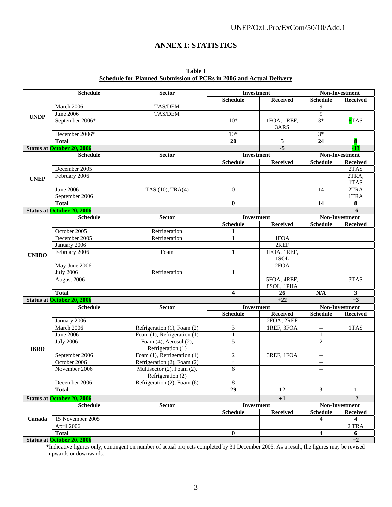### UNEP/OzL.Pro/ExCom/50/10/Add.1

# **ANNEX I: STATISTICS**

| Table I                                                             |  |
|---------------------------------------------------------------------|--|
| Schedule for Planned Submission of PCRs in 2006 and Actual Deliverv |  |

|              | <b>Schedule</b>                   | <b>Sector</b>                                     |                          | Investment                | Non-Investment           |                 |  |  |  |
|--------------|-----------------------------------|---------------------------------------------------|--------------------------|---------------------------|--------------------------|-----------------|--|--|--|
|              |                                   |                                                   | <b>Schedule</b>          | <b>Received</b>           | <b>Schedule</b>          | <b>Received</b> |  |  |  |
|              | March 2006                        | TAS/DEM                                           |                          |                           | 9                        |                 |  |  |  |
| <b>UNDP</b>  | June 2006                         | TAS/DEM                                           |                          |                           | $\overline{9}$           |                 |  |  |  |
|              | September 2006*                   |                                                   | $10*$                    | 1FOA, 1REF,<br>3ARS       | $3*$                     | 8TAS            |  |  |  |
|              | December 2006*                    |                                                   | $10*$                    |                           | $3*$                     |                 |  |  |  |
|              | <b>Total</b>                      |                                                   | 20                       | 5                         | 24                       |                 |  |  |  |
|              | <b>Status at October 20, 2006</b> |                                                   |                          | $-5$                      |                          | $-13$           |  |  |  |
|              | <b>Schedule</b>                   | <b>Sector</b>                                     | Investment               |                           |                          | Non-Investment  |  |  |  |
|              |                                   |                                                   | <b>Schedule</b>          | <b>Received</b>           | <b>Schedule</b>          | Received        |  |  |  |
|              | December 2005                     |                                                   |                          |                           |                          | 2TAS            |  |  |  |
| <b>UNEP</b>  | February 2006                     |                                                   |                          |                           |                          | 2TRA,<br>1TAS   |  |  |  |
|              | <b>June 2006</b>                  | TAS (10), TRA(4)                                  | $\overline{0}$           |                           | 14                       | 2TRA            |  |  |  |
|              | September 2006                    |                                                   |                          |                           |                          | 1TRA            |  |  |  |
|              | <b>Total</b>                      |                                                   | $\bf{0}$                 |                           | 14                       | 8               |  |  |  |
|              | <b>Status at October 20, 2006</b> |                                                   |                          |                           |                          | $-6$            |  |  |  |
|              | <b>Schedule</b>                   | <b>Sector</b>                                     |                          | <b>Investment</b>         |                          | Non-Investment  |  |  |  |
|              |                                   |                                                   | <b>Schedule</b>          | <b>Received</b>           | <b>Schedule</b>          | <b>Received</b> |  |  |  |
|              | October 2005                      | Refrigeration                                     |                          |                           |                          |                 |  |  |  |
|              | December 2005                     | Refrigeration                                     | 1                        | 1FOA                      |                          |                 |  |  |  |
|              | January 2006                      |                                                   |                          | 2REF                      |                          |                 |  |  |  |
| <b>UNIDO</b> | February 2006                     | Foam                                              | 1                        | 1FOA, 1REF,<br>1SOL       |                          |                 |  |  |  |
|              | May-June 2006                     |                                                   |                          | 2FOA                      |                          |                 |  |  |  |
|              | <b>July 2006</b>                  | Refrigeration                                     | 1                        |                           |                          |                 |  |  |  |
|              | August 2006                       |                                                   |                          | 5FOA, 4REF,<br>8SOL, 1PHA |                          | 3TAS            |  |  |  |
|              | <b>Total</b>                      |                                                   | 4                        | 26                        | N/A                      | 3               |  |  |  |
|              | <b>Status at October 20, 2006</b> |                                                   |                          | $+22$                     |                          | $+3$            |  |  |  |
|              | <b>Schedule</b>                   | <b>Sector</b>                                     | Investment               |                           |                          | Non-Investment  |  |  |  |
|              |                                   |                                                   | <b>Schedule</b>          | <b>Received</b>           | <b>Schedule</b>          | Received        |  |  |  |
|              | January 2006                      |                                                   |                          | 2FOA, 2REF                |                          |                 |  |  |  |
|              | March 2006                        | Refrigeration (1), Foam (2)                       | 3                        | 1REF, 3FOA                | $\overline{\phantom{a}}$ | 1TAS            |  |  |  |
|              | June 2006                         | Foam (1), Refrigeration (1)                       | 1                        |                           | 1                        |                 |  |  |  |
| <b>IBRD</b>  | <b>July 2006</b>                  | Foam $(4)$ , Aerosol $(2)$ ,<br>Refrigeration (1) | 5                        |                           | $\overline{c}$           |                 |  |  |  |
|              | September 2006                    | Foam (1), Refrigeration (1)                       | $\mathbf{2}$             | 3REF, 1FOA                | $-$                      |                 |  |  |  |
|              | October 2006                      | Refrigeration (2), Foam (2)                       | $\overline{\mathcal{A}}$ |                           | $- -$                    |                 |  |  |  |
|              | November 2006                     | Multisector (2), Foam (2),<br>Refrigeration (2)   | 6                        |                           | $\overline{\phantom{a}}$ |                 |  |  |  |
|              | December 2006                     | Refrigeration (2), Foam (6)                       | 8                        |                           | --                       |                 |  |  |  |
|              | <b>Total</b>                      |                                                   | $\overline{29}$          | 12                        | 3 <sup>1</sup>           | $\mathbf{1}$    |  |  |  |
|              | <b>Status at October 20, 2006</b> |                                                   |                          | $+1$                      |                          | $-2$            |  |  |  |
|              | <b>Schedule</b>                   | <b>Sector</b>                                     | <b>Investment</b>        |                           |                          | Non-Investment  |  |  |  |
|              |                                   |                                                   | <b>Schedule</b>          | <b>Received</b>           | <b>Schedule</b>          | <b>Received</b> |  |  |  |
| Canada       | 15 November 2005                  |                                                   |                          |                           | 4                        | 4               |  |  |  |
|              | April 2006                        |                                                   |                          |                           |                          | 2 TRA           |  |  |  |
|              | <b>Total</b>                      |                                                   | $\bf{0}$                 |                           | 4                        | 6               |  |  |  |
|              | <b>Status at October 20, 2006</b> |                                                   |                          |                           |                          | $+2$            |  |  |  |

\*Indicative figures only, contingent on number of actual projects completed by 31 December 2005. As a result, the figures may be revised upwards or downwards.